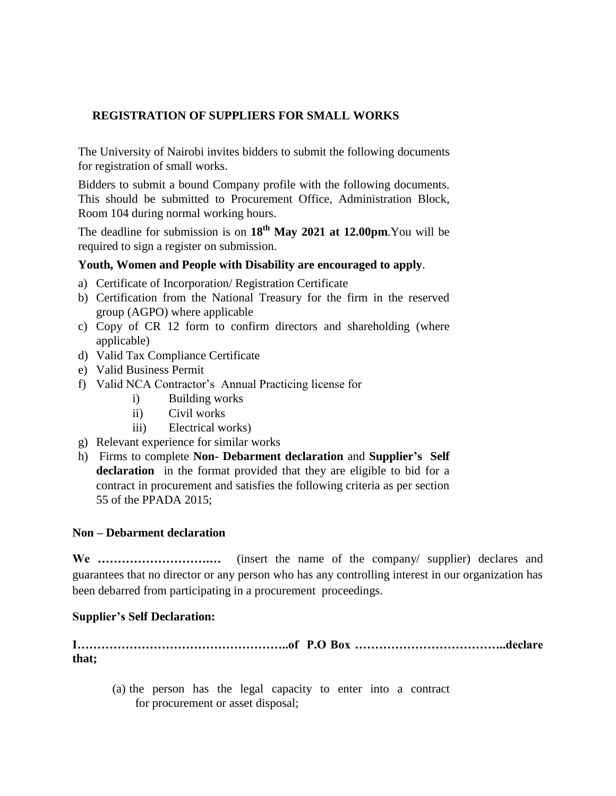## **REGISTRATION OF SUPPLIERS FOR SMALL WORKS**

The University of Nairobi invites bidders to submit the following documents for registration of small works.

Bidders to submit a bound Company profile with the following documents. This should be submitted to Procurement Office, Administration Block, Room 104 during normal working hours.

The deadline for submission is on  $18<sup>th</sup>$  **May 2021 at 12.00pm**. You will be required to sign a register on submission.

## **Youth, Women and People with Disability are encouraged to apply**.

- a) Certificate of Incorporation/ Registration Certificate
- b) Certification from the National Treasury for the firm in the reserved group (AGPO) where applicable
- c) Copy of CR 12 form to confirm directors and shareholding (where applicable)
- d) Valid Tax Compliance Certificate
- e) Valid Business Permit
- f) Valid NCA Contractor's Annual Practicing license for
	- i) Building works
	- ii) Civil works
	- iii) Electrical works)
- g) Relevant experience for similar works
- h) Firms to complete **Non- Debarment declaration** and **Supplier's Self declaration** in the format provided that they are eligible to bid for a contract in procurement and satisfies the following criteria as per section 55 of the PPADA 2015;

## **Non – Debarment declaration**

**We ……………………….…** (insert the name of the company/ supplier) declares and guarantees that no director or any person who has any controlling interest in our organization has been debarred from participating in a procurement proceedings.

## **Supplier's Self Declaration:**

**I……………………………………………..of P.O Box ………………………………..declare that;**

(a) the person has the legal capacity to enter into a contract for procurement or asset disposal;